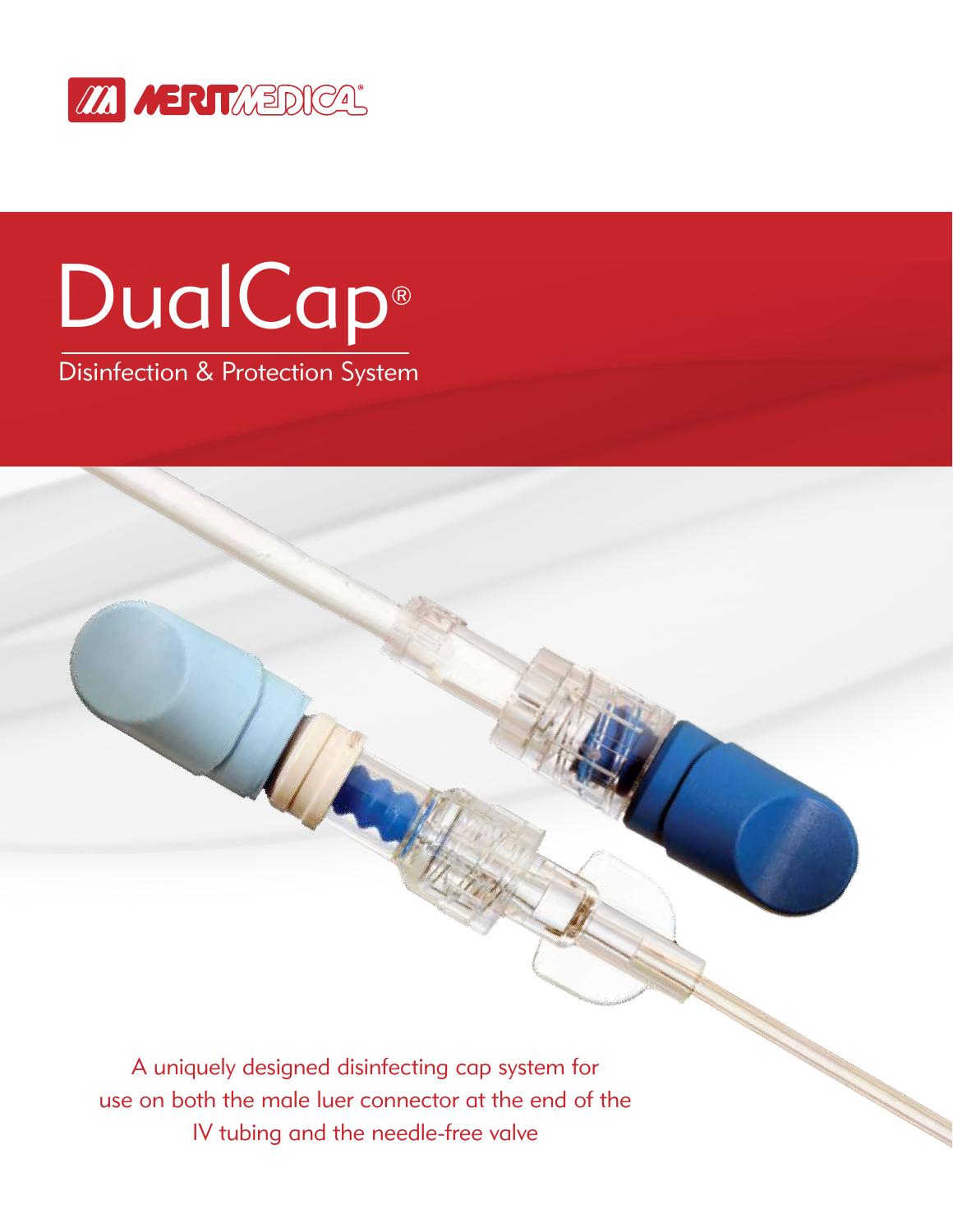

# DualCap®

Disinfection & Protection System

A uniquely designed disinfecting cap system for use on both the male luer connector at the end of the IV tubing and the needle-free valve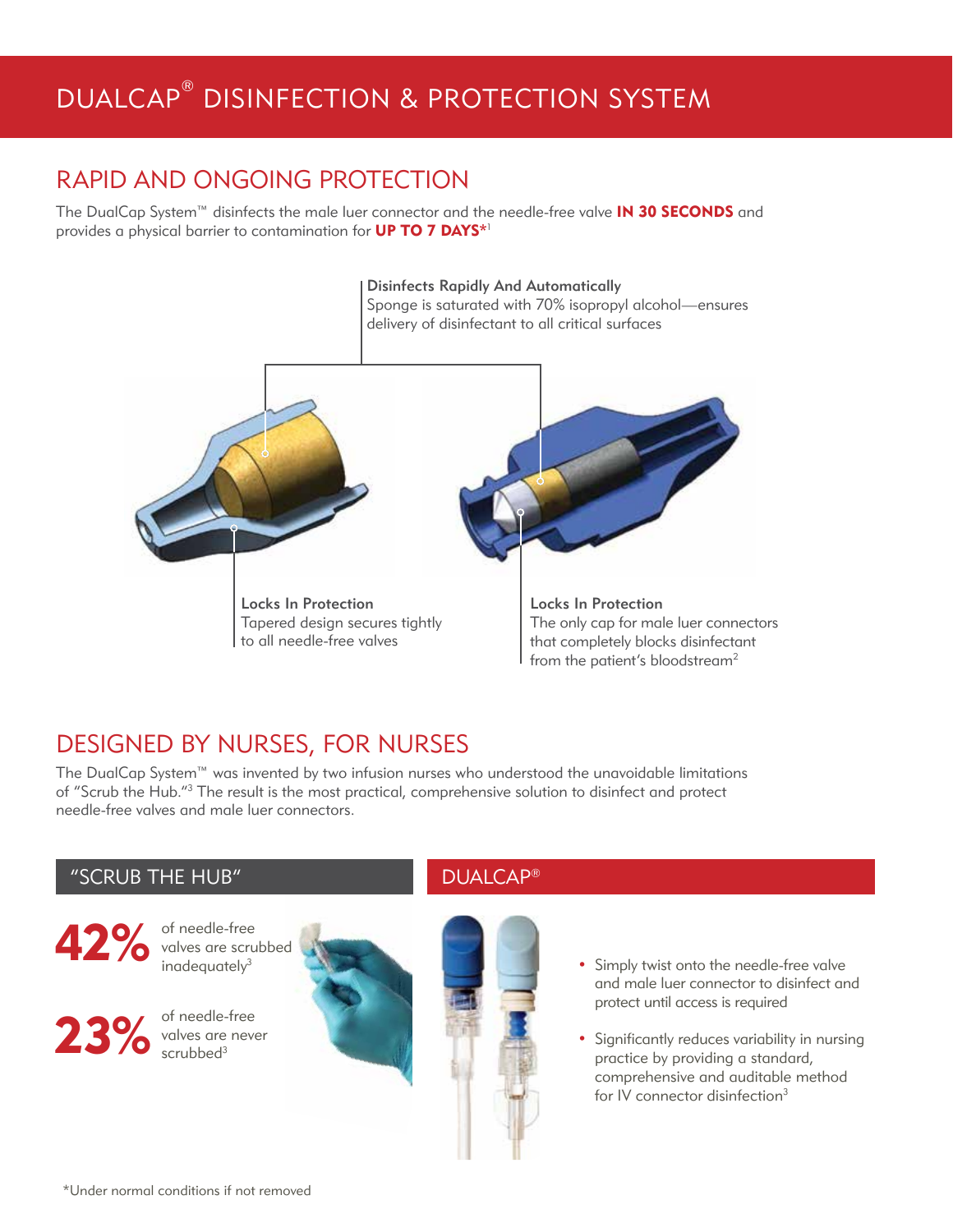# DUALCAP® DISINFECTION & PROTECTION SYSTEM

## RAPID AND ONGOING PROTECTION

The DualCap System<sup>™</sup> disinfects the male luer connector and the needle-free valve **IN 30 SECONDS** and provides a physical barrier to contamination for UP TO 7 DAYS\*1



## DESIGNED BY NURSES, FOR NURSES

The DualCap System™ was invented by two infusion nurses who understood the unavoidable limitations of "Scrub the Hub."<sup>3</sup> The result is the most practical, comprehensive solution to disinfect and protect needle-free valves and male luer connectors.

## "SCRUB THE HUB" DUALCAP®



example of needle-free valves are scrubbed and a simply twist onto the needle-free valve valves are scrubbed inadequatel $v^3$ 



valves are never scrubbed<sup>3</sup>





- and male luer connector to disinfect and protect until access is required
- Significantly reduces variability in nursing practice by providing a standard, comprehensive and auditable method for IV connector disinfection<sup>3</sup>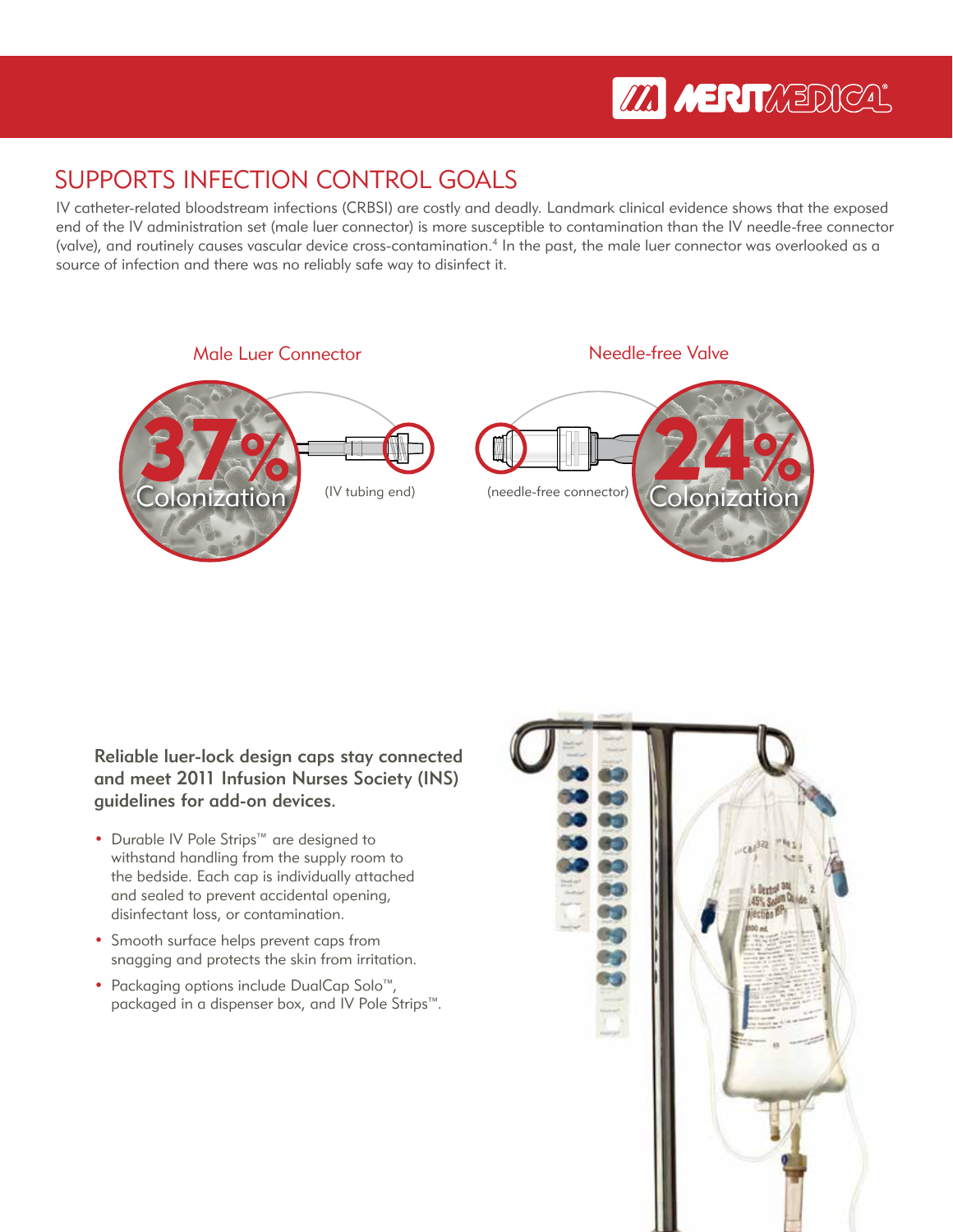# **M MERTAEDICA**

## SUPPORTS INFECTION CONTROL GOALS

IV catheter-related bloodstream infections (CRBSI) are costly and deadly. Landmark clinical evidence shows that the exposed end of the IV administration set (male luer connector) is more susceptible to contamination than the IV needle-free connector (valve), and routinely causes vascular device cross-contamination.4 In the past, the male luer connector was overlooked as a source of infection and there was no reliably safe way to disinfect it.



Reliable luer-lock design caps stay connected and meet 2011 Infusion Nurses Society (INS) guidelines for add-on devices.

- Durable IV Pole Strips™ are designed to withstand handling from the supply room to the bedside. Each cap is individually attached and sealed to prevent accidental opening, disinfectant loss, or contamination.
- Smooth surface helps prevent caps from snagging and protects the skin from irritation.
- Packaging options include DualCap Solo™, packaged in a dispenser box, and IV Pole Strips™.